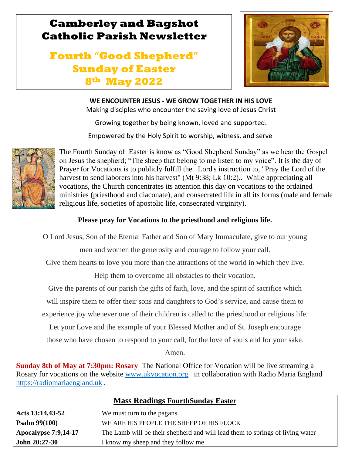## **Camberley and Bagshot Catholic Parish Newsletter**

# **Fourth "Good Shepherd" Sunday of Easter 8th May 2022**



## **WE ENCOUNTER JESUS - WE GROW TOGETHER IN HIS LOVE**

Making disciples who encounter the saving love of Jesus Christ

Growing together by being known, loved and supported.

Empowered by the Holy Spirit to worship, witness, and serve



l

 $\mathbb{R}$ 

The Fourth Sunday of Easter is know as "Good Shepherd Sunday" as we hear the Gospel on Jesus the shepherd; "The sheep that belong to me listen to my voice". It is the day of Prayer for Vocations is to publicly fulfill the Lord's instruction to, "Pray the Lord of the harvest to send laborers into his harvest" (Mt 9:38; Lk 10:2).. While appreciating all vocations, the Church concentrates its attention this day on vocations to the ordained ministries (priesthood and diaconate), and consecrated life in all its forms (male and female religious life, societies of apostolic life, consecrated virginity).

## **Please pray for Vocations to the priesthood and religious life.**

O Lord Jesus, Son of the Eternal Father and Son of Mary Immaculate, give to our young

men and women the generosity and courage to follow your call.

Give them hearts to love you more than the attractions of the world in which they live.

Help them to overcome all obstacles to their vocation.

Give the parents of our parish the gifts of faith, love, and the spirit of sacrifice which

will inspire them to offer their sons and daughters to God's service, and cause them to

experience joy whenever one of their children is called to the priesthood or religious life.

Let your Love and the example of your Blessed Mother and of St. Joseph encourage

those who have chosen to respond to your call, for the love of souls and for your sake.

Amen.

**Sunday 8th of May at 7:30pm: Rosary** The National Office for Vocation will be live streaming a Rosary for vocations on the website [www.ukvocation.org](http://www.ukvocation.org/) in collaboration with Radio Maria England [https://radiomariaengland.uk](https://radiomariaengland.uk/) .

| <b>Mass Readings FourthSunday Easter</b> |                                                                               |  |  |
|------------------------------------------|-------------------------------------------------------------------------------|--|--|
| Acts 13:14,43-52                         | We must turn to the pagans                                                    |  |  |
| <b>Psalm <math>99(100)</math></b>        | WE ARE HIS PEOPLE THE SHEEP OF HIS FLOCK                                      |  |  |
| <b>Apocalypse 7:9,14-17</b>              | The Lamb will be their shepherd and will lead them to springs of living water |  |  |
| <b>John 20:27-30</b>                     | I know my sheep and they follow me                                            |  |  |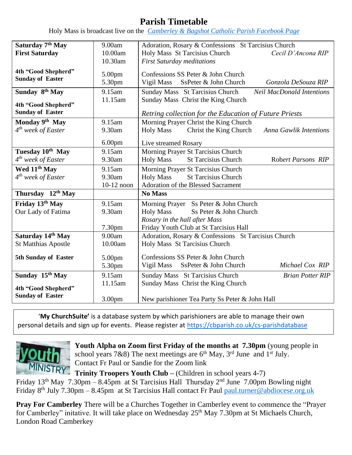## **Parish Timetable**

Holy Mass is broadcast live on the *[Camberley & Bagshot Catholic Parish Facebook Page](https://www.facebook.com/Camberley-Bagshot-Catholic-Parish-102099478101801/)*

| Saturday 7 <sup>th</sup> May                   | 9.00am             | Adoration, Rosary & Confessions St Tarcisius Church                         |  |  |
|------------------------------------------------|--------------------|-----------------------------------------------------------------------------|--|--|
| <b>First Saturday</b>                          | 10.00am            | Holy Mass St Tarcisius Church<br>Cecil D'Ancona RIP                         |  |  |
|                                                | 10.30am            | <b>First Saturday meditations</b>                                           |  |  |
| 4th "Good Shepherd"                            |                    |                                                                             |  |  |
| <b>Sunday of Easter</b>                        | 5.00pm             | Confessions SS Peter & John Church                                          |  |  |
|                                                | 5.30pm             | Vigil Mass<br>SsPeter & John Church<br>Gonzola DeSouza RIP                  |  |  |
| Sunday 8th May                                 | 9.15am             | Sunday Mass St Tarcisius Church<br><b>Neil MacDonald Intentions</b>         |  |  |
|                                                | 11.15am            | Sunday Mass Christ the King Church                                          |  |  |
| 4th "Good Shepherd"<br><b>Sunday of Easter</b> |                    |                                                                             |  |  |
|                                                |                    | Retring collection for the Education of Future Priests                      |  |  |
| Monday 9th May                                 | 9.15am             | Morning Prayer Christ the King Church                                       |  |  |
| $4th$ week of Easter                           | 9.30am             | Christ the King Church<br><b>Holy Mass</b><br><b>Anna Gawlik Intentions</b> |  |  |
|                                                | 6.00 <sub>pm</sub> | Live streamed Rosary                                                        |  |  |
| Tuesday 10th May                               | 9.15am             | Morning Prayer St Tarcisius Church                                          |  |  |
| $4th$ week of Easter                           | 9.30am             | <b>St Tarcisius Church</b><br><b>Holy Mass</b><br>Robert Parsons RIP        |  |  |
| Wed 11 <sup>th</sup> May                       | 9.15am             | Morning Prayer St Tarcisius Church                                          |  |  |
| $4th$ week of Easter                           | 9.30am             | <b>St Tarcisius Church</b><br><b>Holy Mass</b>                              |  |  |
|                                                | 10-12 noon         | Adoration of the Blessed Sacrament                                          |  |  |
| Thursday 12th May                              |                    | <b>No Mass</b>                                                              |  |  |
| Friday 13th May                                | 9.15am             | Morning Prayer Ss Peter & John Church                                       |  |  |
| Our Lady of Fatima                             | 9.30am             | <b>Holy Mass</b><br>Ss Peter & John Church                                  |  |  |
|                                                |                    | Rosary in the hall after Mass                                               |  |  |
|                                                | 7.30pm             | Friday Youth Club at St Tarcisius Hall                                      |  |  |
| Saturday 14th May                              | 9.00am             | Adoration, Rosary & Confessions St Tarcisius Church                         |  |  |
| <b>St Matthias Apostle</b>                     | 10.00am            | Holy Mass St Tarcisius Church                                               |  |  |
|                                                |                    |                                                                             |  |  |
| 5th Sunday of Easter                           | 5.00pm             | Confessions SS Peter & John Church                                          |  |  |
|                                                | 5.30pm             | Vigil Mass<br>SsPeter & John Church<br>Michael Cox RIP                      |  |  |
| Sunday 15 <sup>th</sup> May                    | 9.15am             | Sunday Mass St Tarcisius Church<br><b>Brian Potter RIP</b>                  |  |  |
|                                                | 11.15am            | Sunday Mass Christ the King Church                                          |  |  |
| 4th "Good Shepherd"<br><b>Sunday of Easter</b> |                    |                                                                             |  |  |
|                                                | 3.00 <sub>pm</sub> | New parishioner Tea Party Ss Peter & John Hall                              |  |  |

'**My ChurchSuite'** is a database system by which parishioners are able to manage their own personal details and sign up for events. Please register at<https://cbparish.co.uk/cs-parishdatabase>



**Youth Alpha on Zoom first Friday of the months at 7.30pm** (young people in school years 7&8) The next meetings are  $6<sup>th</sup>$  May, 3<sup>rd</sup> June and 1<sup>st</sup> July. Contact Fr Paul or Sandie for the Zoom link

**Trinity Troopers Youth Club –** (Children in school years 4-7) Friday 13th May 7.30pm – 8.45pm at St Tarcisius Hall Thursday 2nd June 7.00pm Bowling night Friday 8th July 7.30pm – 8.45pm at St Tarcisius Hall contact Fr Paul [paul.turner@abdiocese.org.uk](mailto:paul.turner@abdiocese.org.uk) 

**Pray For Camberley** There will be a Churches Together in Camberley event to commence the "Prayer for Camberley" initative. It will take place on Wednesday 25<sup>th</sup> May 7.30pm at St Michaels Church, London Road Camberkey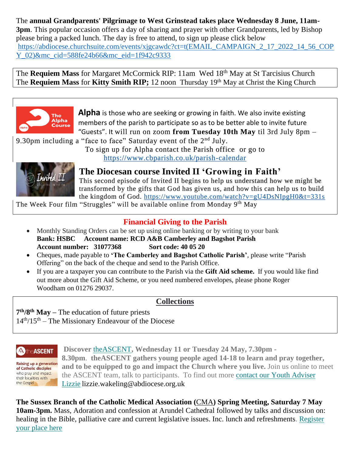The **annual Grandparents' Pilgrimage to West Grinstead takes place Wednesday 8 June, 11am-3pm**. This popular occasion offers a day of sharing and prayer with other Grandparents, led by Bishop please bring a packed lunch. The day is free to attend, to sign up please click below [https://abdiocese.churchsuite.com/events/xjgcawdc?ct=t\(EMAIL\\_CAMPAIGN\\_2\\_17\\_2022\\_14\\_56\\_COP](https://abdiocese.churchsuite.com/events/xjgcawdc?ct=t(EMAIL_CAMPAIGN_2_17_2022_14_56_COPY_02)&mc_cid=588fe24b66&mc_eid=1f942c9333) [Y\\_02\)&mc\\_cid=588fe24b66&mc\\_eid=1f942c9333](https://abdiocese.churchsuite.com/events/xjgcawdc?ct=t(EMAIL_CAMPAIGN_2_17_2022_14_56_COPY_02)&mc_cid=588fe24b66&mc_eid=1f942c9333)

The **Requiem Mass** for Margaret McCormick RIP: 11am Wed 18th May at St Tarcisius Church The Requiem Mass for Kitty Smith RIP; 12 noon Thursday 19<sup>th</sup> May at Christ the King Church



**Alpha** is those who are seeking or growing in faith. We also invite existing members of the parish to participate so as to be better able to invite future "Guests". It will run on zoom **from Tuesday 10th May** til 3rd July 8pm –

9.30pm including a "face to face" Saturday event of the  $2<sup>nd</sup>$  July.

To sign up for Alpha contact the Parish office or go to <https://www.cbparish.co.uk/parish-calendar>



**The Diocesan course Invited II 'Growing in Faith'** 

This second episode of Invited II begins to help us understand how we might be transformed by the gifts that God has given us, and how this can help us to build the kingdom of God. <https://www.youtube.com/watch?v=gU4DsNIpgH0&t=331s>

The Week Four film "Struggles" will be available online from Monday 9<sup>th</sup> May

## **Financial Giving to the Parish**

- Monthly Standing Orders can be set up using online banking or by writing to your bank **Bank: HSBC Account name: RCD A&B Camberley and Bagshot Parish Account number: 31077368 Sort code: 40 05 20**
- Cheques, made payable to **'The Camberley and Bagshot Catholic Parish'**, please write "Parish Offering" on the back of the cheque and send to the Parish Office.
- If you are a taxpayer you can contribute to the Parish via the **Gift Aid scheme.** If you would like find out more about the Gift Aid Scheme, or you need numbered envelopes, please phone Roger Woodham on 01276 29037.

#### **Collections**

**7 th/8th May –** The education of future priests  $14<sup>th</sup>/15<sup>th</sup>$  – The Missionary Endeavour of the Diocese

## **A** the **ASCENT**

**Raising up a generation** of Catholic disciples who pray and impact their localities with the Gospel

**Discover** [theASCENT](https://eur02.safelinks.protection.outlook.com/?url=https%3A%2F%2Fabdiocese.us9.list-manage.com%2Ftrack%2Fclick%3Fu%3D6ad3715cf61665df736c264a6%26id%3D4861406d37%26e%3D1f942c9333&data=05%7C01%7Cpaul.turner%40abdiocese.org.uk%7C2f8848936ef242845a2e08da29346a99%7C2bf5dbc217ef4efca1c9ab2dc4edefd0%7C0%7C0%7C637867602342969345%7CUnknown%7CTWFpbGZsb3d8eyJWIjoiMC4wLjAwMDAiLCJQIjoiV2luMzIiLCJBTiI6Ik1haWwiLCJXVCI6Mn0%3D%7C3000%7C%7C%7C&sdata=qi%2FAODRUKdj4J3NEetxZo%2FttXs766XNH4hgUy1dsgtU%3D&reserved=0)**, Wednesday 11 or Tuesday 24 May, 7.30pm - 8.30pm**. **theASCENT gathers young people aged 14-18 to learn and pray together, and to be equipped to go and impact the Church where you live.** Join us online to meet the ASCENT team, talk to participants. To find out more contact our Youth [Adviser](mailto:lizzie.wakeling@abdiocese.org.uk?subject=ASCENT) [Lizzie](mailto:lizzie.wakeling@abdiocese.org.uk?subject=ASCENT) lizzie.wakeling@abdiocese.org.uk

**The Sussex Branch of the Catholic Medical Association (**[CMA](https://eur02.safelinks.protection.outlook.com/?url=https%3A%2F%2Fabdiocese.us9.list-manage.com%2Ftrack%2Fclick%3Fu%3D6ad3715cf61665df736c264a6%26id%3D24989c713a%26e%3D1f942c9333&data=05%7C01%7Cpaul.turner%40abdiocese.org.uk%7C2f8848936ef242845a2e08da29346a99%7C2bf5dbc217ef4efca1c9ab2dc4edefd0%7C0%7C0%7C637867602342969345%7CUnknown%7CTWFpbGZsb3d8eyJWIjoiMC4wLjAwMDAiLCJQIjoiV2luMzIiLCJBTiI6Ik1haWwiLCJXVCI6Mn0%3D%7C3000%7C%7C%7C&sdata=lzfwkrtJA9CfvRL6bNbzy%2F%2FZrYJr9LsKOeiH4IOH4ho%3D&reserved=0)**) Spring Meeting, Saturday 7 May 10am-3pm.** Mass, Adoration and confession at Arundel Cathedral followed by talks and discussion on: healing in the Bible, palliative care and current legislative issues. Inc. lunch and refreshments. [Register](https://eur02.safelinks.protection.outlook.com/?url=https%3A%2F%2Fabdiocese.us9.list-manage.com%2Ftrack%2Fclick%3Fu%3D6ad3715cf61665df736c264a6%26id%3Def155171b6%26e%3D1f942c9333&data=05%7C01%7Cpaul.turner%40abdiocese.org.uk%7C2f8848936ef242845a2e08da29346a99%7C2bf5dbc217ef4efca1c9ab2dc4edefd0%7C0%7C0%7C637867602342969345%7CUnknown%7CTWFpbGZsb3d8eyJWIjoiMC4wLjAwMDAiLCJQIjoiV2luMzIiLCJBTiI6Ik1haWwiLCJXVCI6Mn0%3D%7C3000%7C%7C%7C&sdata=sQhmzilqbPgtWlas0fpCGeTKw5%2B%2FRN%2BsYBibWw4W%2BWo%3D&reserved=0) your [place](https://eur02.safelinks.protection.outlook.com/?url=https%3A%2F%2Fabdiocese.us9.list-manage.com%2Ftrack%2Fclick%3Fu%3D6ad3715cf61665df736c264a6%26id%3Def155171b6%26e%3D1f942c9333&data=05%7C01%7Cpaul.turner%40abdiocese.org.uk%7C2f8848936ef242845a2e08da29346a99%7C2bf5dbc217ef4efca1c9ab2dc4edefd0%7C0%7C0%7C637867602342969345%7CUnknown%7CTWFpbGZsb3d8eyJWIjoiMC4wLjAwMDAiLCJQIjoiV2luMzIiLCJBTiI6Ik1haWwiLCJXVCI6Mn0%3D%7C3000%7C%7C%7C&sdata=sQhmzilqbPgtWlas0fpCGeTKw5%2B%2FRN%2BsYBibWw4W%2BWo%3D&reserved=0) here